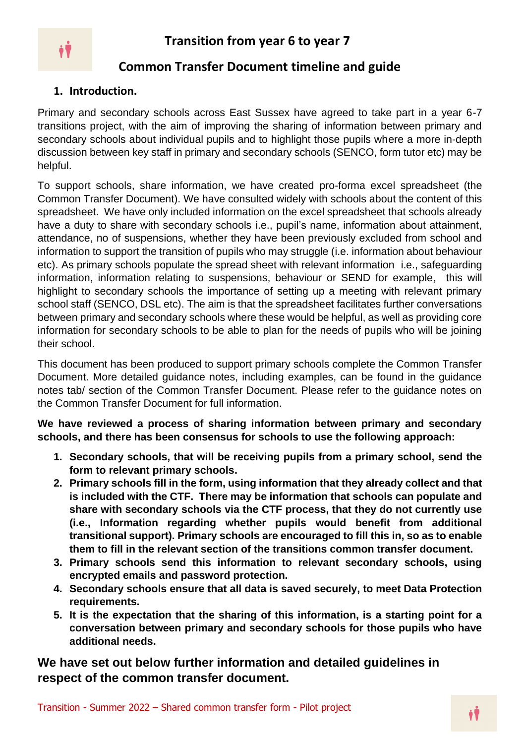

# **Common Transfer Document timeline and guide**

### **1. Introduction.**

Primary and secondary schools across East Sussex have agreed to take part in a year 6-7 transitions project, with the aim of improving the sharing of information between primary and secondary schools about individual pupils and to highlight those pupils where a more in-depth discussion between key staff in primary and secondary schools (SENCO, form tutor etc) may be helpful.

To support schools, share information, we have created pro-forma excel spreadsheet (the Common Transfer Document). We have consulted widely with schools about the content of this spreadsheet. We have only included information on the excel spreadsheet that schools already have a duty to share with secondary schools i.e., pupil's name, information about attainment, attendance, no of suspensions, whether they have been previously excluded from school and information to support the transition of pupils who may struggle (i.e. information about behaviour etc). As primary schools populate the spread sheet with relevant information i.e., safeguarding information, information relating to suspensions, behaviour or SEND for example, this will highlight to secondary schools the importance of setting up a meeting with relevant primary school staff (SENCO, DSL etc). The aim is that the spreadsheet facilitates further conversations between primary and secondary schools where these would be helpful, as well as providing core information for secondary schools to be able to plan for the needs of pupils who will be joining their school.

This document has been produced to support primary schools complete the Common Transfer Document. More detailed guidance notes, including examples, can be found in the guidance notes tab/ section of the Common Transfer Document. Please refer to the guidance notes on the Common Transfer Document for full information.

**We have reviewed a process of sharing information between primary and secondary schools, and there has been consensus for schools to use the following approach:**

- **1. Secondary schools, that will be receiving pupils from a primary school, send the form to relevant primary schools.**
- **2. Primary schools fill in the form, using information that they already collect and that is included with the CTF. There may be information that schools can populate and share with secondary schools via the CTF process, that they do not currently use (i.e., Information regarding whether pupils would benefit from additional transitional support). Primary schools are encouraged to fill this in, so as to enable them to fill in the relevant section of the transitions common transfer document.**
- **3. Primary schools send this information to relevant secondary schools, using encrypted emails and password protection.**
- **4. Secondary schools ensure that all data is saved securely, to meet Data Protection requirements.**
- **5. It is the expectation that the sharing of this information, is a starting point for a conversation between primary and secondary schools for those pupils who have additional needs.**

**We have set out below further information and detailed guidelines in respect of the common transfer document.**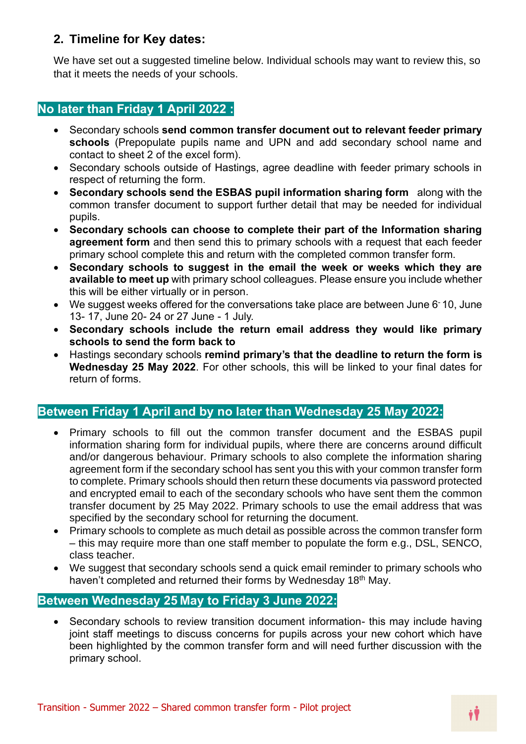## **2. Timeline for Key dates:**

We have set out a suggested timeline below. Individual schools may want to review this, so that it meets the needs of your schools.

## **No later than Friday 1 April 2022 :**

- Secondary schools **send common transfer document out to relevant feeder primary schools** (Prepopulate pupils name and UPN and add secondary school name and contact to sheet 2 of the excel form).
- Secondary schools outside of Hastings, agree deadline with feeder primary schools in respect of returning the form.
- **Secondary schools send the ESBAS pupil information sharing form** along with the common transfer document to support further detail that may be needed for individual pupils.
- **Secondary schools can choose to complete their part of the Information sharing agreement form** and then send this to primary schools with a request that each feeder primary school complete this and return with the completed common transfer form.
- **Secondary schools to suggest in the email the week or weeks which they are available to meet up** with primary school colleagues. Please ensure you include whether this will be either virtually or in person.
- We suggest weeks offered for the conversations take place are between June 6- 10, June 13- 17, June 20- 24 or 27 June - 1 July.
- **Secondary schools include the return email address they would like primary schools to send the form back to**
- Hastings secondary schools **remind primary's that the deadline to return the form is Wednesday 25 May 2022**. For other schools, this will be linked to your final dates for return of forms.

### **Between Friday 1 April and by no later than Wednesday 25 May 2022:**

- Primary schools to fill out the common transfer document and the ESBAS pupil information sharing form for individual pupils, where there are concerns around difficult and/or dangerous behaviour. Primary schools to also complete the information sharing agreement form if the secondary school has sent you this with your common transfer form to complete. Primary schools should then return these documents via password protected and encrypted email to each of the secondary schools who have sent them the common transfer document by 25 May 2022. Primary schools to use the email address that was specified by the secondary school for returning the document.
- Primary schools to complete as much detail as possible across the common transfer form – this may require more than one staff member to populate the form e.g., DSL, SENCO, class teacher.
- We suggest that secondary schools send a quick email reminder to primary schools who haven't completed and returned their forms by Wednesday 18<sup>th</sup> May.

### **Between Wednesday 25 May to Friday 3 June 2022:**

• Secondary schools to review transition document information- this may include having joint staff meetings to discuss concerns for pupils across your new cohort which have been highlighted by the common transfer form and will need further discussion with the primary school.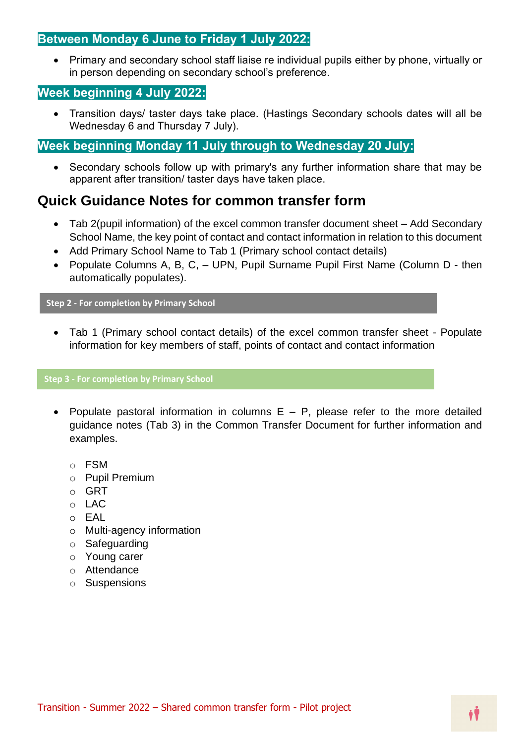### **Between Monday 6 June to Friday 1 July 2022:**

• Primary and secondary school staff liaise re individual pupils either by phone, virtually or in person depending on secondary school's preference.

### **Week beginning 4 July 2022:**

• Transition days/ taster days take place. (Hastings Secondary schools dates will all be Wednesday 6 and Thursday 7 July).

### **Week beginning Monday 11 July through to Wednesday 20 July:**

• Secondary schools follow up with primary's any further information share that may be apparent after transition/ taster days have taken place.

# **Quick Guidance Notes for common transfer form**

- Tab 2(pupil information) of the excel common transfer document sheet Add Secondary School Name, the key point of contact and contact information in relation to this document
- Add Primary School Name to Tab 1 (Primary school contact details)
- Populate Columns A, B, C, UPN, Pupil Surname Pupil First Name (Column D then automatically populates).

#### **Step 2 - For completion by Primary School**

• Tab 1 (Primary school contact details) of the excel common transfer sheet - Populate information for key members of staff, points of contact and contact information

#### **Step 3 - For completion by Primary School**

- Populate pastoral information in columns  $E P$ , please refer to the more detailed guidance notes (Tab 3) in the Common Transfer Document for further information and examples.
	- o FSM
	- o Pupil Premium
	- o GRT
	- o LAC
	- o EAL
	- o Multi-agency information
	- o Safeguarding
	- o Young carer
	- o Attendance
	- o Suspensions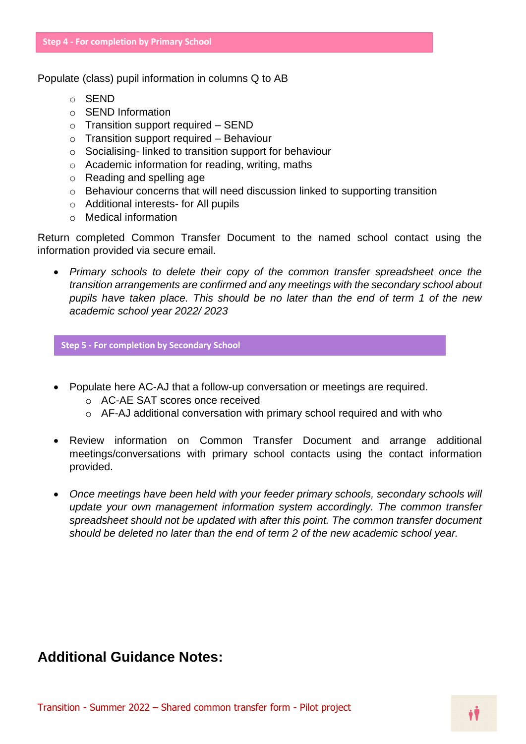Populate (class) pupil information in columns Q to AB

- o SEND
- o SEND Information
- $\circ$  Transition support required SEND
- o Transition support required Behaviour
- o Socialising- linked to transition support for behaviour
- o Academic information for reading, writing, maths
- o Reading and spelling age
- o Behaviour concerns that will need discussion linked to supporting transition
- o Additional interests- for All pupils
- o Medical information

Return completed Common Transfer Document to the named school contact using the information provided via secure email.

• *Primary schools to delete their copy of the common transfer spreadsheet once the transition arrangements are confirmed and any meetings with the secondary school about pupils have taken place. This should be no later than the end of term 1 of the new academic school year 2022/ 2023*

**Step 5 - For completion by Secondary School**

- Populate here AC-AJ that a follow-up conversation or meetings are required.
	- o AC-AE SAT scores once received
	- o AF-AJ additional conversation with primary school required and with who
- Review information on Common Transfer Document and arrange additional meetings/conversations with primary school contacts using the contact information provided.
- *Once meetings have been held with your feeder primary schools, secondary schools will update your own management information system accordingly. The common transfer spreadsheet should not be updated with after this point. The common transfer document should be deleted no later than the end of term 2 of the new academic school year.*

# **Additional Guidance Notes:**